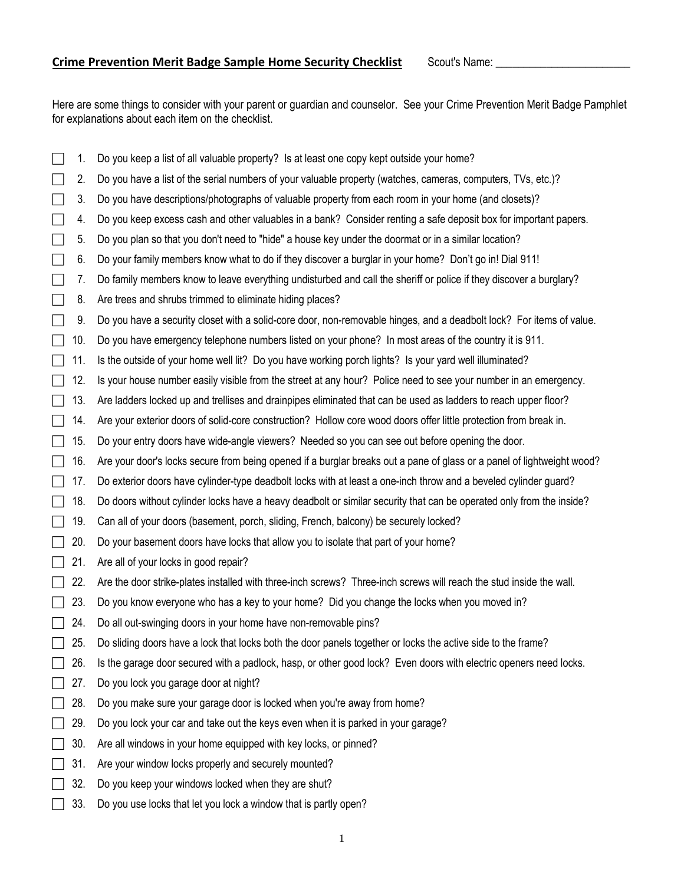Here are some things to consider with your parent or guardian and counselor. See your Crime Prevention Merit Badge Pamphlet for explanations about each item on the checklist.

|           | 1.  | Do you keep a list of all valuable property? Is at least one copy kept outside your home?                              |
|-----------|-----|------------------------------------------------------------------------------------------------------------------------|
|           | 2.  | Do you have a list of the serial numbers of your valuable property (watches, cameras, computers, TVs, etc.)?           |
| $\Box$    | 3.  | Do you have descriptions/photographs of valuable property from each room in your home (and closets)?                   |
| $\Box$    | 4.  | Do you keep excess cash and other valuables in a bank? Consider renting a safe deposit box for important papers.       |
| $\Box$    | 5.  | Do you plan so that you don't need to "hide" a house key under the doormat or in a similar location?                   |
| $\Box$    | 6.  | Do your family members know what to do if they discover a burglar in your home? Don't go in! Dial 911!                 |
| $\Box$    | 7.  | Do family members know to leave everything undisturbed and call the sheriff or police if they discover a burglary?     |
| $\Box$    | 8.  | Are trees and shrubs trimmed to eliminate hiding places?                                                               |
|           | 9.  | Do you have a security closet with a solid-core door, non-removable hinges, and a deadbolt lock? For items of value.   |
|           | 10. | Do you have emergency telephone numbers listed on your phone? In most areas of the country it is 911.                  |
|           | 11. | Is the outside of your home well lit? Do you have working porch lights? Is your yard well illuminated?                 |
|           | 12. | Is your house number easily visible from the street at any hour? Police need to see your number in an emergency.       |
|           | 13. | Are ladders locked up and trellises and drainpipes eliminated that can be used as ladders to reach upper floor?        |
|           | 14. | Are your exterior doors of solid-core construction? Hollow core wood doors offer little protection from break in.      |
|           | 15. | Do your entry doors have wide-angle viewers? Needed so you can see out before opening the door.                        |
|           | 16. | Are your door's locks secure from being opened if a burglar breaks out a pane of glass or a panel of lightweight wood? |
|           | 17. | Do exterior doors have cylinder-type deadbolt locks with at least a one-inch throw and a beveled cylinder guard?       |
| LΤ        | 18. | Do doors without cylinder locks have a heavy deadbolt or similar security that can be operated only from the inside?   |
| $\lfloor$ | 19. | Can all of your doors (basement, porch, sliding, French, balcony) be securely locked?                                  |
|           | 20. | Do your basement doors have locks that allow you to isolate that part of your home?                                    |
|           | 21. | Are all of your locks in good repair?                                                                                  |
|           | 22. | Are the door strike-plates installed with three-inch screws? Three-inch screws will reach the stud inside the wall.    |
|           | 23. | Do you know everyone who has a key to your home? Did you change the locks when you moved in?                           |
|           | 24. | Do all out-swinging doors in your home have non-removable pins?                                                        |
|           | 25. | Do sliding doors have a lock that locks both the door panels together or locks the active side to the frame?           |
|           | 26. | Is the garage door secured with a padlock, hasp, or other good lock? Even doors with electric openers need locks.      |
|           | 27. | Do you lock you garage door at night?                                                                                  |
|           | 28. | Do you make sure your garage door is locked when you're away from home?                                                |
|           | 29. | Do you lock your car and take out the keys even when it is parked in your garage?                                      |
|           | 30. | Are all windows in your home equipped with key locks, or pinned?                                                       |
|           | 31. | Are your window locks properly and securely mounted?                                                                   |
|           | 32. | Do you keep your windows locked when they are shut?                                                                    |
|           | 33. | Do you use locks that let you lock a window that is partly open?                                                       |
|           |     |                                                                                                                        |

1